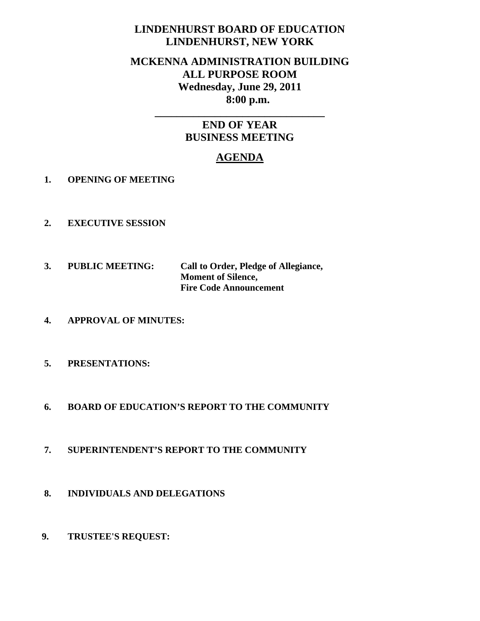# **LINDENHURST BOARD OF EDUCATION LINDENHURST, NEW YORK**

# **MCKENNA ADMINISTRATION BUILDING ALL PURPOSE ROOM Wednesday, June 29, 2011 8:00 p.m.**

# **END OF YEAR BUSINESS MEETING**

**\_\_\_\_\_\_\_\_\_\_\_\_\_\_\_\_\_\_\_\_\_\_\_\_\_\_\_\_\_\_\_** 

# **AGENDA**

- **1. OPENING OF MEETING**
- **2. EXECUTIVE SESSION**
- **3. PUBLIC MEETING: Call to Order, Pledge of Allegiance, Moment of Silence, Fire Code Announcement**
- **4. APPROVAL OF MINUTES:**
- **5. PRESENTATIONS:**
- **6. BOARD OF EDUCATION'S REPORT TO THE COMMUNITY**
- **7. SUPERINTENDENT'S REPORT TO THE COMMUNITY**
- **8. INDIVIDUALS AND DELEGATIONS**
- **9. TRUSTEE'S REQUEST:**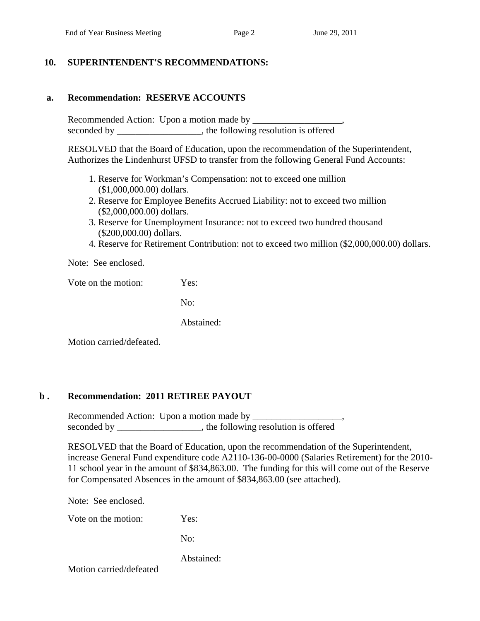#### **10. SUPERINTENDENT'S RECOMMENDATIONS:**

## **a. Recommendation: RESERVE ACCOUNTS**

 Recommended Action: Upon a motion made by \_\_\_\_\_\_\_\_\_\_\_\_\_\_\_\_\_\_\_, seconded by \_\_\_\_\_\_\_\_\_\_\_\_\_, the following resolution is offered

RESOLVED that the Board of Education, upon the recommendation of the Superintendent, Authorizes the Lindenhurst UFSD to transfer from the following General Fund Accounts:

- 1. Reserve for Workman's Compensation: not to exceed one million (\$1,000,000.00) dollars.
- 2. Reserve for Employee Benefits Accrued Liability: not to exceed two million (\$2,000,000.00) dollars.
- 3. Reserve for Unemployment Insurance: not to exceed two hundred thousand (\$200,000.00) dollars.
- 4. Reserve for Retirement Contribution: not to exceed two million (\$2,000,000.00) dollars.

Note: See enclosed.

Vote on the motion: Yes:

No:

Abstained:

Motion carried/defeated.

#### **b . Recommendation: 2011 RETIREE PAYOUT**

 Recommended Action: Upon a motion made by \_\_\_\_\_\_\_\_\_\_\_\_\_\_\_\_\_\_\_, seconded by \_\_\_\_\_\_\_\_\_\_\_\_\_\_\_, the following resolution is offered

RESOLVED that the Board of Education, upon the recommendation of the Superintendent, increase General Fund expenditure code A2110-136-00-0000 (Salaries Retirement) for the 2010- 11 school year in the amount of \$834,863.00. The funding for this will come out of the Reserve for Compensated Absences in the amount of \$834,863.00 (see attached).

Note: See enclosed.

Vote on the motion: Yes:

No:

Abstained: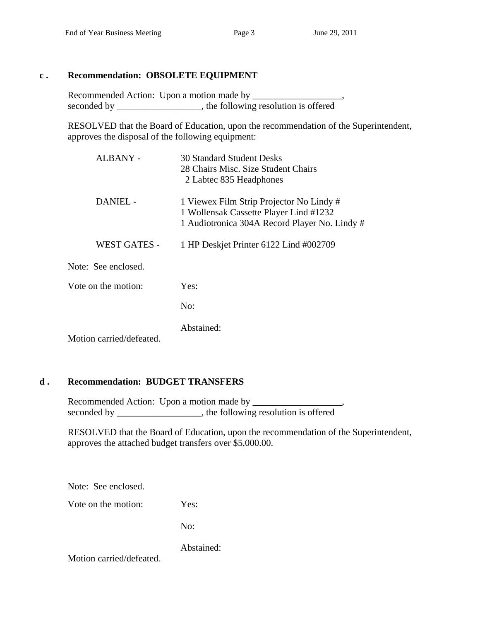## **c . Recommendation: OBSOLETE EQUIPMENT**

Recommended Action: Upon a motion made by seconded by \_\_\_\_\_\_\_\_\_\_\_\_\_\_\_\_, the following resolution is offered

RESOLVED that the Board of Education, upon the recommendation of the Superintendent, approves the disposal of the following equipment:

| <b>30 Standard Student Desks</b><br>28 Chairs Misc. Size Student Chairs<br>2 Labtec 835 Headphones                                  |
|-------------------------------------------------------------------------------------------------------------------------------------|
| 1 Viewex Film Strip Projector No Lindy #<br>1 Wollensak Cassette Player Lind #1232<br>1 Audiotronica 304A Record Player No. Lindy # |
| 1 HP Deskjet Printer 6122 Lind #002709                                                                                              |
|                                                                                                                                     |
| Yes:                                                                                                                                |
| No:                                                                                                                                 |
| Abstained:                                                                                                                          |
|                                                                                                                                     |

## **d . Recommendation: BUDGET TRANSFERS**

 Recommended Action: Upon a motion made by \_\_\_\_\_\_\_\_\_\_\_\_\_\_\_\_\_\_\_, seconded by \_\_\_\_\_\_\_\_\_\_\_\_\_\_\_\_\_\_, the following resolution is offered

RESOLVED that the Board of Education, upon the recommendation of the Superintendent, approves the attached budget transfers over \$5,000.00.

Note: See enclosed.

Vote on the motion: Yes:

No:

Abstained: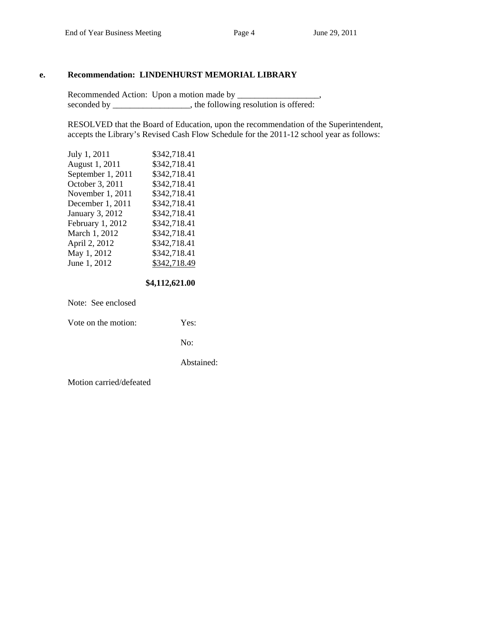#### **e. Recommendation: LINDENHURST MEMORIAL LIBRARY**

Recommended Action: Upon a motion made by \_\_\_\_\_\_\_\_\_\_\_\_\_\_\_\_\_\_\_, seconded by \_\_\_\_\_\_\_\_\_\_\_\_\_\_\_, the following resolution is offered:

RESOLVED that the Board of Education, upon the recommendation of the Superintendent, accepts the Library's Revised Cash Flow Schedule for the 2011-12 school year as follows:

| July 1, 2011      | \$342,718.41 |
|-------------------|--------------|
| August 1, 2011    | \$342,718.41 |
| September 1, 2011 | \$342,718.41 |
| October 3, 2011   | \$342,718.41 |
| November 1, 2011  | \$342,718.41 |
| December 1, 2011  | \$342,718.41 |
| January 3, 2012   | \$342,718.41 |
| February 1, 2012  | \$342,718.41 |
| March 1, 2012     | \$342,718.41 |
| April 2, 2012     | \$342,718.41 |
| May 1, 2012       | \$342,718.41 |
| June 1, 2012      | \$342,718.49 |
|                   |              |

 **\$4,112,621.00** 

Note: See enclosed

Vote on the motion: Yes:

No:

Abstained: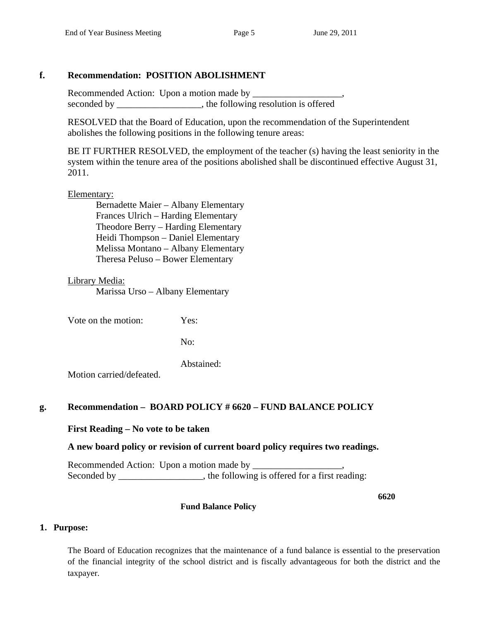## **f. Recommendation: POSITION ABOLISHMENT**

 Recommended Action: Upon a motion made by \_\_\_\_\_\_\_\_\_\_\_\_\_\_\_\_\_\_\_, seconded by the following resolution is offered

 RESOLVED that the Board of Education, upon the recommendation of the Superintendent abolishes the following positions in the following tenure areas:

 BE IT FURTHER RESOLVED, the employment of the teacher (s) having the least seniority in the system within the tenure area of the positions abolished shall be discontinued effective August 31, 2011.

#### Elementary:

 Bernadette Maier – Albany Elementary Frances Ulrich – Harding Elementary Theodore Berry – Harding Elementary Heidi Thompson – Daniel Elementary Melissa Montano – Albany Elementary Theresa Peluso – Bower Elementary

#### Library Media:

Marissa Urso – Albany Elementary

Vote on the motion: Yes:

No:

Abstained:

Motion carried/defeated.

## **g. Recommendation – BOARD POLICY # 6620 – FUND BALANCE POLICY**

## **First Reading – No vote to be taken**

## **A new board policy or revision of current board policy requires two readings.**

 Recommended Action: Upon a motion made by \_\_\_\_\_\_\_\_\_\_\_\_\_\_\_\_\_\_\_, Seconded by \_\_\_\_\_\_\_\_\_\_\_\_\_\_, the following is offered for a first reading:

**6620** 

#### **Fund Balance Policy**

#### **1. Purpose:**

The Board of Education recognizes that the maintenance of a fund balance is essential to the preservation of the financial integrity of the school district and is fiscally advantageous for both the district and the taxpayer.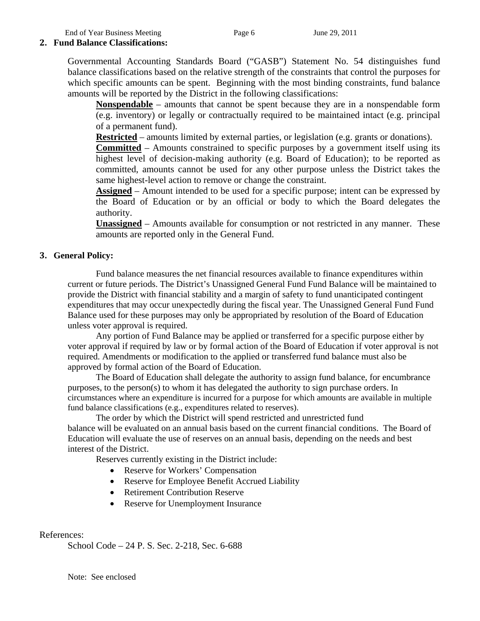End of Year Business Meeting Page 6 June 29, 2011

## **2. Fund Balance Classifications:**

Governmental Accounting Standards Board ("GASB") Statement No. 54 distinguishes fund balance classifications based on the relative strength of the constraints that control the purposes for which specific amounts can be spent. Beginning with the most binding constraints, fund balance amounts will be reported by the District in the following classifications:

**Nonspendable** – amounts that cannot be spent because they are in a nonspendable form (e.g. inventory) or legally or contractually required to be maintained intact (e.g. principal of a permanent fund).

**Restricted** – amounts limited by external parties, or legislation (e.g. grants or donations).

**Committed** – Amounts constrained to specific purposes by a government itself using its highest level of decision-making authority (e.g. Board of Education); to be reported as committed, amounts cannot be used for any other purpose unless the District takes the same highest-level action to remove or change the constraint.

**Assigned** – Amount intended to be used for a specific purpose; intent can be expressed by the Board of Education or by an official or body to which the Board delegates the authority.

**Unassigned** – Amounts available for consumption or not restricted in any manner. These amounts are reported only in the General Fund.

#### **3. General Policy:**

Fund balance measures the net financial resources available to finance expenditures within current or future periods. The District's Unassigned General Fund Fund Balance will be maintained to provide the District with financial stability and a margin of safety to fund unanticipated contingent expenditures that may occur unexpectedly during the fiscal year. The Unassigned General Fund Fund Balance used for these purposes may only be appropriated by resolution of the Board of Education unless voter approval is required.

Any portion of Fund Balance may be applied or transferred for a specific purpose either by voter approval if required by law or by formal action of the Board of Education if voter approval is not required. Amendments or modification to the applied or transferred fund balance must also be approved by formal action of the Board of Education.

The Board of Education shall delegate the authority to assign fund balance, for encumbrance purposes, to the person(s) to whom it has delegated the authority to sign purchase orders. In circumstances where an expenditure is incurred for a purpose for which amounts are available in multiple fund balance classifications (e.g., expenditures related to reserves).

The order by which the District will spend restricted and unrestricted fund balance will be evaluated on an annual basis based on the current financial conditions. The Board of Education will evaluate the use of reserves on an annual basis, depending on the needs and best interest of the District.

Reserves currently existing in the District include:

- Reserve for Workers' Compensation
- Reserve for Employee Benefit Accrued Liability
- Retirement Contribution Reserve
- Reserve for Unemployment Insurance

References:

School Code – 24 P. S. Sec. 2-218, Sec. 6-688

Note: See enclosed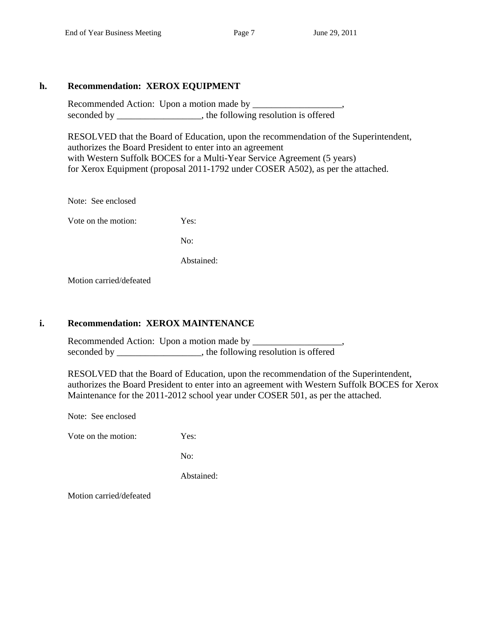## **h. Recommendation: XEROX EQUIPMENT**

 Recommended Action: Upon a motion made by \_\_\_\_\_\_\_\_\_\_\_\_\_\_\_\_\_\_\_, seconded by \_\_\_\_\_\_\_\_\_\_\_\_\_\_\_\_, the following resolution is offered

RESOLVED that the Board of Education, upon the recommendation of the Superintendent, authorizes the Board President to enter into an agreement with Western Suffolk BOCES for a Multi-Year Service Agreement (5 years) for Xerox Equipment (proposal 2011-1792 under COSER A502), as per the attached.

Note: See enclosed

Vote on the motion: Yes:

No:

Abstained:

Motion carried/defeated

## **i. Recommendation: XEROX MAINTENANCE**

 Recommended Action: Upon a motion made by \_\_\_\_\_\_\_\_\_\_\_\_\_\_\_\_\_\_\_, seconded by \_\_\_\_\_\_\_\_\_\_\_\_\_\_\_\_, the following resolution is offered

RESOLVED that the Board of Education, upon the recommendation of the Superintendent, authorizes the Board President to enter into an agreement with Western Suffolk BOCES for Xerox Maintenance for the 2011-2012 school year under COSER 501, as per the attached.

Note: See enclosed

Vote on the motion: Yes:

No:

Abstained: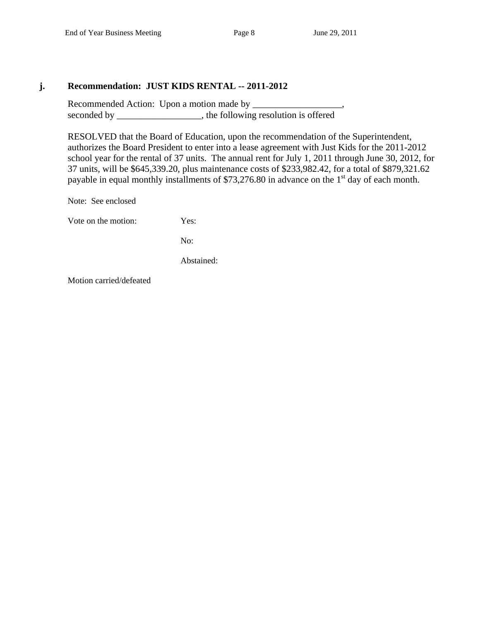#### **j. Recommendation: JUST KIDS RENTAL -- 2011-2012**

 Recommended Action: Upon a motion made by \_\_\_\_\_\_\_\_\_\_\_\_\_\_\_\_\_\_\_, seconded by \_\_\_\_\_\_\_\_\_\_\_\_\_\_\_\_, the following resolution is offered

RESOLVED that the Board of Education, upon the recommendation of the Superintendent, authorizes the Board President to enter into a lease agreement with Just Kids for the 2011-2012 school year for the rental of 37 units. The annual rent for July 1, 2011 through June 30, 2012, for 37 units, will be \$645,339.20, plus maintenance costs of \$233,982.42, for a total of \$879,321.62 payable in equal monthly installments of  $$73,276.80$  in advance on the 1<sup>st</sup> day of each month.

Note: See enclosed

Vote on the motion: Yes:

No:

Abstained: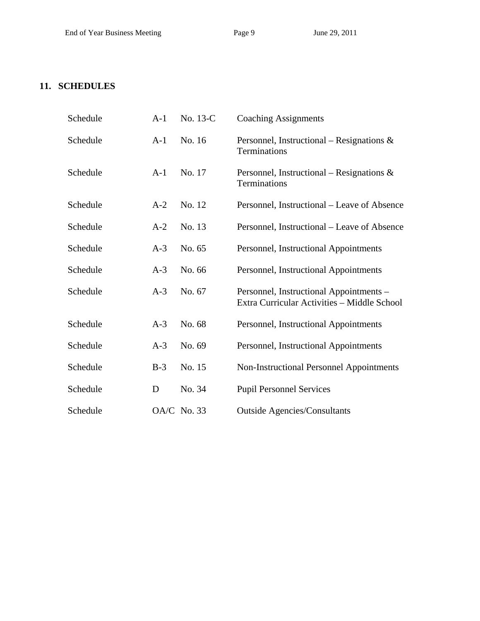## **11. SCHEDULES**

| Schedule | $A-1$ | No. 13-C    | <b>Coaching Assignments</b>                                                            |
|----------|-------|-------------|----------------------------------------------------------------------------------------|
| Schedule | $A-1$ | No. 16      | Personnel, Instructional – Resignations $\&$<br>Terminations                           |
| Schedule | $A-1$ | No. 17      | Personnel, Instructional – Resignations $\&$<br>Terminations                           |
| Schedule | $A-2$ | No. 12      | Personnel, Instructional – Leave of Absence                                            |
| Schedule | $A-2$ | No. 13      | Personnel, Instructional – Leave of Absence                                            |
| Schedule | $A-3$ | No. 65      | Personnel, Instructional Appointments                                                  |
| Schedule | $A-3$ | No. 66      | Personnel, Instructional Appointments                                                  |
| Schedule | $A-3$ | No. 67      | Personnel, Instructional Appointments -<br>Extra Curricular Activities - Middle School |
| Schedule | $A-3$ | No. 68      | Personnel, Instructional Appointments                                                  |
| Schedule | $A-3$ | No. 69      | Personnel, Instructional Appointments                                                  |
| Schedule | $B-3$ | No. 15      | Non-Instructional Personnel Appointments                                               |
| Schedule | D     | No. 34      | <b>Pupil Personnel Services</b>                                                        |
| Schedule |       | OA/C No. 33 | <b>Outside Agencies/Consultants</b>                                                    |